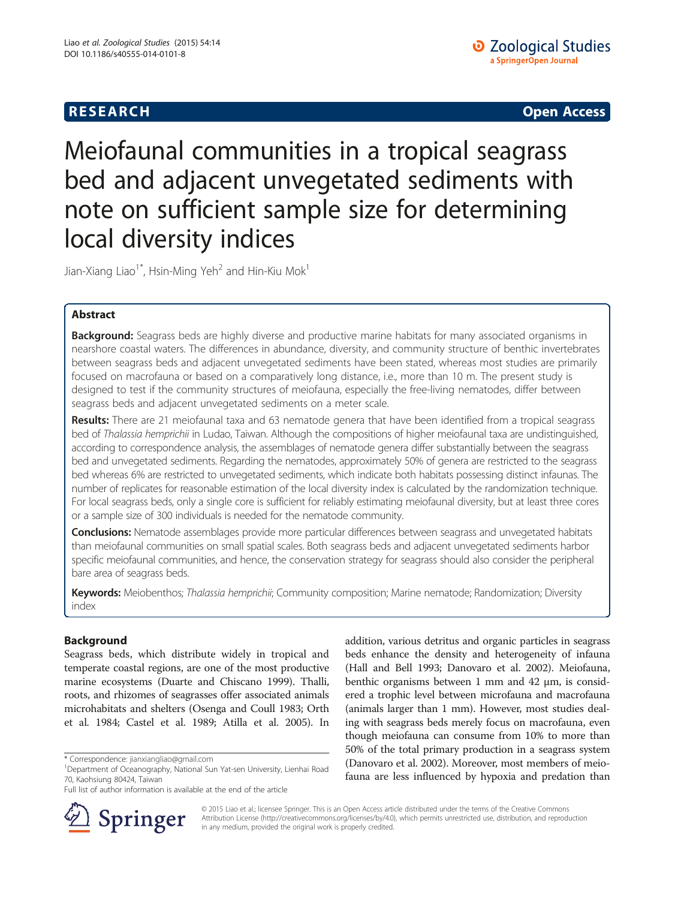# **RESEARCH CHE Open Access**

# Meiofaunal communities in a tropical seagrass bed and adjacent unvegetated sediments with note on sufficient sample size for determining local diversity indices

Jian-Xiang Liao<sup>1\*</sup>, Hsin-Ming Yeh<sup>2</sup> and Hin-Kiu Mok<sup>1</sup>

# Abstract

Background: Seagrass beds are highly diverse and productive marine habitats for many associated organisms in nearshore coastal waters. The differences in abundance, diversity, and community structure of benthic invertebrates between seagrass beds and adjacent unvegetated sediments have been stated, whereas most studies are primarily focused on macrofauna or based on a comparatively long distance, i.e., more than 10 m. The present study is designed to test if the community structures of meiofauna, especially the free-living nematodes, differ between seagrass beds and adjacent unvegetated sediments on a meter scale.

Results: There are 21 meiofaunal taxa and 63 nematode genera that have been identified from a tropical seagrass bed of Thalassia hemprichii in Ludao, Taiwan. Although the compositions of higher meiofaunal taxa are undistinguished, according to correspondence analysis, the assemblages of nematode genera differ substantially between the seagrass bed and unvegetated sediments. Regarding the nematodes, approximately 50% of genera are restricted to the seagrass bed whereas 6% are restricted to unvegetated sediments, which indicate both habitats possessing distinct infaunas. The number of replicates for reasonable estimation of the local diversity index is calculated by the randomization technique. For local seagrass beds, only a single core is sufficient for reliably estimating meiofaunal diversity, but at least three cores or a sample size of 300 individuals is needed for the nematode community.

**Conclusions:** Nematode assemblages provide more particular differences between seagrass and unvegetated habitats than meiofaunal communities on small spatial scales. Both seagrass beds and adjacent unvegetated sediments harbor specific meiofaunal communities, and hence, the conservation strategy for seagrass should also consider the peripheral bare area of seagrass beds.

Keywords: Meiobenthos; Thalassia hemprichii; Community composition; Marine nematode; Randomization; Diversity index

# Background

Seagrass beds, which distribute widely in tropical and temperate coastal regions, are one of the most productive marine ecosystems (Duarte and Chiscano [1999](#page-8-0)). Thalli, roots, and rhizomes of seagrasses offer associated animals microhabitats and shelters (Osenga and Coull [1983;](#page-9-0) Orth et al. [1984;](#page-9-0) Castel et al. [1989;](#page-8-0) Atilla et al. [2005](#page-8-0)). In

Full list of author information is available at the end of the article



addition, various detritus and organic particles in seagrass beds enhance the density and heterogeneity of infauna (Hall and Bell [1993;](#page-8-0) Danovaro et al. [2002\)](#page-8-0). Meiofauna, benthic organisms between 1 mm and 42 μm, is considered a trophic level between microfauna and macrofauna (animals larger than 1 mm). However, most studies dealing with seagrass beds merely focus on macrofauna, even though meiofauna can consume from 10% to more than 50% of the total primary production in a seagrass system (Danovaro et al. [2002\)](#page-8-0). Moreover, most members of meiofauna are less influenced by hypoxia and predation than

© 2015 Liao et al.; licensee Springer. This is an Open Access article distributed under the terms of the Creative Commons Attribution License [\(http://creativecommons.org/licenses/by/4.0\)](http://creativecommons.org/licenses/by/4.0), which permits unrestricted use, distribution, and reproduction in any medium, provided the original work is properly credited.

<sup>\*</sup> Correspondence: [jianxiangliao@gmail.com](mailto:jianxiangliao@gmail.com) <sup>1</sup>

<sup>&</sup>lt;sup>1</sup>Department of Oceanography, National Sun Yat-sen University, Lienhai Road 70, Kaohsiung 80424, Taiwan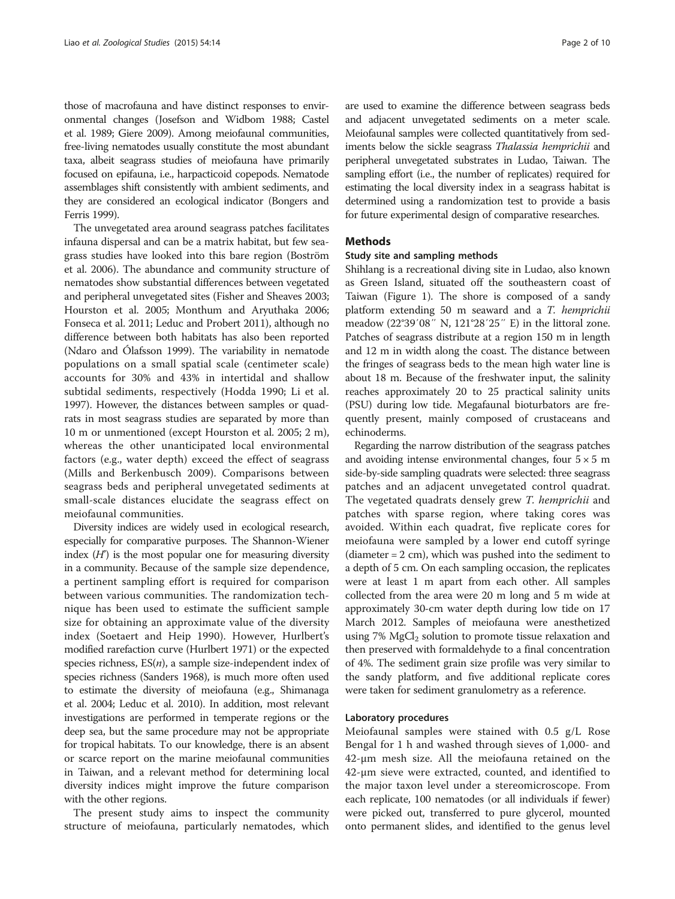those of macrofauna and have distinct responses to environmental changes (Josefson and Widbom [1988;](#page-8-0) Castel et al. [1989;](#page-8-0) Giere [2009](#page-8-0)). Among meiofaunal communities, free-living nematodes usually constitute the most abundant taxa, albeit seagrass studies of meiofauna have primarily focused on epifauna, i.e., harpacticoid copepods. Nematode assemblages shift consistently with ambient sediments, and they are considered an ecological indicator (Bongers and Ferris [1999](#page-8-0)).

The unvegetated area around seagrass patches facilitates infauna dispersal and can be a matrix habitat, but few seagrass studies have looked into this bare region (Boström et al. [2006\)](#page-8-0). The abundance and community structure of nematodes show substantial differences between vegetated and peripheral unvegetated sites (Fisher and Sheaves [2003](#page-8-0); Hourston et al. [2005](#page-8-0); Monthum and Aryuthaka [2006](#page-9-0); Fonseca et al. [2011;](#page-8-0) Leduc and Probert [2011](#page-9-0)), although no difference between both habitats has also been reported (Ndaro and Ólafsson [1999\)](#page-9-0). The variability in nematode populations on a small spatial scale (centimeter scale) accounts for 30% and 43% in intertidal and shallow subtidal sediments, respectively (Hodda [1990](#page-8-0); Li et al. [1997\)](#page-9-0). However, the distances between samples or quadrats in most seagrass studies are separated by more than 10 m or unmentioned (except Hourston et al. [2005](#page-8-0); 2 m), whereas the other unanticipated local environmental factors (e.g., water depth) exceed the effect of seagrass (Mills and Berkenbusch [2009](#page-9-0)). Comparisons between seagrass beds and peripheral unvegetated sediments at small-scale distances elucidate the seagrass effect on meiofaunal communities.

Diversity indices are widely used in ecological research, especially for comparative purposes. The Shannon-Wiener index  $(H')$  is the most popular one for measuring diversity in a community. Because of the sample size dependence, a pertinent sampling effort is required for comparison between various communities. The randomization technique has been used to estimate the sufficient sample size for obtaining an approximate value of the diversity index (Soetaert and Heip [1990\)](#page-9-0). However, Hurlbert's modified rarefaction curve (Hurlbert [1971](#page-8-0)) or the expected species richness,  $ES(n)$ , a sample size-independent index of species richness (Sanders [1968\)](#page-9-0), is much more often used to estimate the diversity of meiofauna (e.g., Shimanaga et al. [2004](#page-9-0); Leduc et al. [2010](#page-9-0)). In addition, most relevant investigations are performed in temperate regions or the deep sea, but the same procedure may not be appropriate for tropical habitats. To our knowledge, there is an absent or scarce report on the marine meiofaunal communities in Taiwan, and a relevant method for determining local diversity indices might improve the future comparison with the other regions.

The present study aims to inspect the community structure of meiofauna, particularly nematodes, which are used to examine the difference between seagrass beds and adjacent unvegetated sediments on a meter scale. Meiofaunal samples were collected quantitatively from sediments below the sickle seagrass Thalassia hemprichii and peripheral unvegetated substrates in Ludao, Taiwan. The sampling effort (i.e., the number of replicates) required for estimating the local diversity index in a seagrass habitat is determined using a randomization test to provide a basis for future experimental design of comparative researches.

### Methods

#### Study site and sampling methods

Shihlang is a recreational diving site in Ludao, also known as Green Island, situated off the southeastern coast of Taiwan (Figure [1](#page-2-0)). The shore is composed of a sandy platform extending 50 m seaward and a T. hemprichii meadow (22°39′08″ N, 121°28′25″ E) in the littoral zone. Patches of seagrass distribute at a region 150 m in length and 12 m in width along the coast. The distance between the fringes of seagrass beds to the mean high water line is about 18 m. Because of the freshwater input, the salinity reaches approximately 20 to 25 practical salinity units (PSU) during low tide. Megafaunal bioturbators are frequently present, mainly composed of crustaceans and echinoderms.

Regarding the narrow distribution of the seagrass patches and avoiding intense environmental changes, four  $5 \times 5$  m side-by-side sampling quadrats were selected: three seagrass patches and an adjacent unvegetated control quadrat. The vegetated quadrats densely grew T. hemprichii and patches with sparse region, where taking cores was avoided. Within each quadrat, five replicate cores for meiofauna were sampled by a lower end cutoff syringe (diameter = 2 cm), which was pushed into the sediment to a depth of 5 cm. On each sampling occasion, the replicates were at least 1 m apart from each other. All samples collected from the area were 20 m long and 5 m wide at approximately 30-cm water depth during low tide on 17 March 2012. Samples of meiofauna were anesthetized using  $7\%$  MgCl<sub>2</sub> solution to promote tissue relaxation and then preserved with formaldehyde to a final concentration of 4%. The sediment grain size profile was very similar to the sandy platform, and five additional replicate cores were taken for sediment granulometry as a reference.

#### Laboratory procedures

Meiofaunal samples were stained with 0.5 g/L Rose Bengal for 1 h and washed through sieves of 1,000- and 42-μm mesh size. All the meiofauna retained on the 42-μm sieve were extracted, counted, and identified to the major taxon level under a stereomicroscope. From each replicate, 100 nematodes (or all individuals if fewer) were picked out, transferred to pure glycerol, mounted onto permanent slides, and identified to the genus level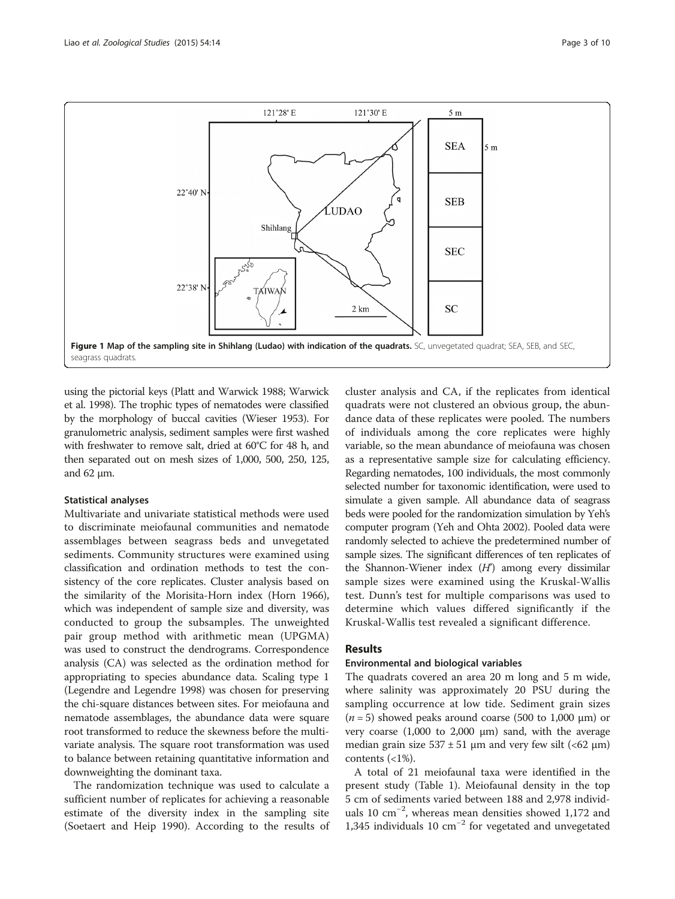<span id="page-2-0"></span>

using the pictorial keys (Platt and Warwick [1988;](#page-9-0) Warwick et al. [1998](#page-9-0)). The trophic types of nematodes were classified by the morphology of buccal cavities (Wieser [1953\)](#page-9-0). For granulometric analysis, sediment samples were first washed with freshwater to remove salt, dried at 60°C for 48 h, and then separated out on mesh sizes of 1,000, 500, 250, 125, and 62 μm.

#### Statistical analyses

Multivariate and univariate statistical methods were used to discriminate meiofaunal communities and nematode assemblages between seagrass beds and unvegetated sediments. Community structures were examined using classification and ordination methods to test the consistency of the core replicates. Cluster analysis based on the similarity of the Morisita-Horn index (Horn [1966](#page-8-0)), which was independent of sample size and diversity, was conducted to group the subsamples. The unweighted pair group method with arithmetic mean (UPGMA) was used to construct the dendrograms. Correspondence analysis (CA) was selected as the ordination method for appropriating to species abundance data. Scaling type 1 (Legendre and Legendre [1998\)](#page-9-0) was chosen for preserving the chi-square distances between sites. For meiofauna and nematode assemblages, the abundance data were square root transformed to reduce the skewness before the multivariate analysis. The square root transformation was used to balance between retaining quantitative information and downweighting the dominant taxa.

The randomization technique was used to calculate a sufficient number of replicates for achieving a reasonable estimate of the diversity index in the sampling site (Soetaert and Heip [1990](#page-9-0)). According to the results of

cluster analysis and CA, if the replicates from identical quadrats were not clustered an obvious group, the abundance data of these replicates were pooled. The numbers of individuals among the core replicates were highly variable, so the mean abundance of meiofauna was chosen as a representative sample size for calculating efficiency. Regarding nematodes, 100 individuals, the most commonly selected number for taxonomic identification, were used to simulate a given sample. All abundance data of seagrass beds were pooled for the randomization simulation by Yeh's computer program (Yeh and Ohta [2002\)](#page-9-0). Pooled data were randomly selected to achieve the predetermined number of sample sizes. The significant differences of ten replicates of the Shannon-Wiener index  $(H)$  among every dissimilar sample sizes were examined using the Kruskal-Wallis test. Dunn's test for multiple comparisons was used to determine which values differed significantly if the Kruskal-Wallis test revealed a significant difference.

### Results

#### Environmental and biological variables

The quadrats covered an area 20 m long and 5 m wide, where salinity was approximately 20 PSU during the sampling occurrence at low tide. Sediment grain sizes  $(n = 5)$  showed peaks around coarse (500 to 1,000  $\mu$ m) or very coarse (1,000 to 2,000 μm) sand, with the average median grain size  $537 \pm 51$  µm and very few silt (<62 µm) contents (<1%).

A total of 21 meiofaunal taxa were identified in the present study (Table [1\)](#page-3-0). Meiofaunal density in the top 5 cm of sediments varied between 188 and 2,978 individuals 10 cm−<sup>2</sup> , whereas mean densities showed 1,172 and 1,345 individuals 10 cm−<sup>2</sup> for vegetated and unvegetated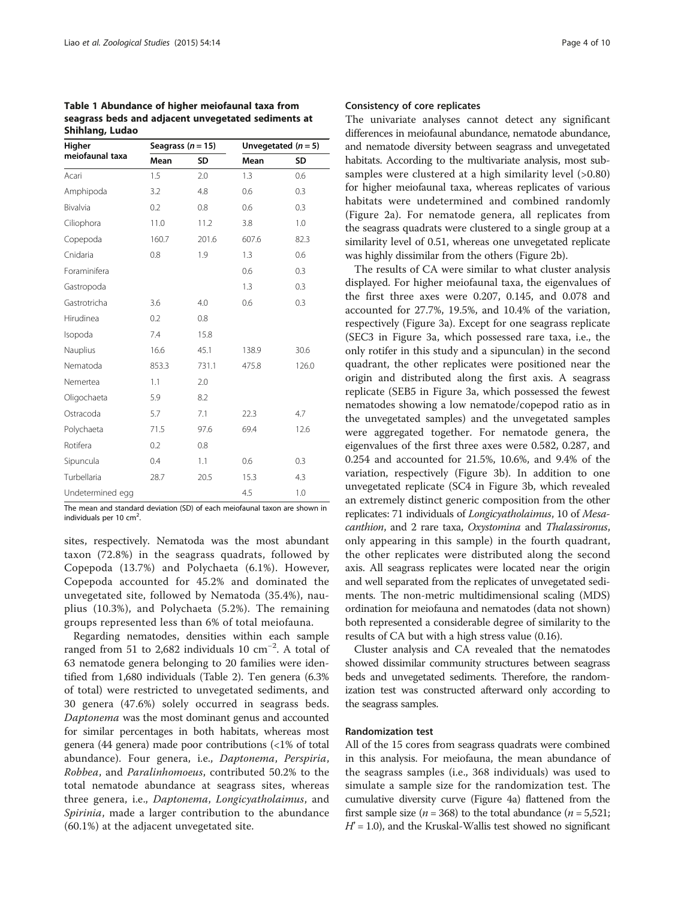<span id="page-3-0"></span>Table 1 Abundance of higher meiofaunal taxa from seagrass beds and adjacent unvegetated sediments at Shihlang, Ludao

| Higher           | Seagrass $(n = 15)$ |       | Unvegetated $(n = 5)$ |       |
|------------------|---------------------|-------|-----------------------|-------|
| meiofaunal taxa  | Mean                | SD    | Mean                  | SD    |
| Acari            | 1.5                 | 2.0   | 1.3                   | 0.6   |
| Amphipoda        | 3.2                 | 4.8   | 0.6                   | 0.3   |
| Bivalvia         | 0.2                 | 0.8   | 0.6                   | 0.3   |
| Ciliophora       | 11.0                | 11.2  | 3.8                   | 1.0   |
| Copepoda         | 160.7               | 201.6 | 607.6                 | 82.3  |
| Cnidaria         | 0.8                 | 1.9   | 1.3                   | 0.6   |
| Foraminifera     |                     |       | 0.6                   | 0.3   |
| Gastropoda       |                     |       | 1.3                   | 0.3   |
| Gastrotricha     | 3.6                 | 4.0   | 0.6                   | 0.3   |
| Hirudinea        | 0.2                 | 0.8   |                       |       |
| Isopoda          | 7.4                 | 15.8  |                       |       |
| Nauplius         | 16.6                | 45.1  | 138.9                 | 30.6  |
| Nematoda         | 853.3               | 731.1 | 475.8                 | 126.0 |
| Nemertea         | 1.1                 | 2.0   |                       |       |
| Oligochaeta      | 5.9                 | 8.2   |                       |       |
| Ostracoda        | 5.7                 | 7.1   | 22.3                  | 4.7   |
| Polychaeta       | 71.5                | 97.6  | 69.4                  | 12.6  |
| Rotifera         | 0.2                 | 0.8   |                       |       |
| Sipuncula        | 0.4                 | 1.1   | 0.6                   | 0.3   |
| Turbellaria      | 28.7                | 20.5  | 15.3                  | 4.3   |
| Undetermined egg |                     |       | 4.5                   | 1.0   |

The mean and standard deviation (SD) of each meiofaunal taxon are shown in individuals per 10  $\text{cm}^2$ . .

sites, respectively. Nematoda was the most abundant taxon (72.8%) in the seagrass quadrats, followed by Copepoda (13.7%) and Polychaeta (6.1%). However, Copepoda accounted for 45.2% and dominated the unvegetated site, followed by Nematoda (35.4%), nauplius (10.3%), and Polychaeta (5.2%). The remaining groups represented less than 6% of total meiofauna.

Regarding nematodes, densities within each sample ranged from 51 to 2,682 individuals 10 cm−<sup>2</sup> . A total of 63 nematode genera belonging to 20 families were identified from 1,680 individuals (Table [2\)](#page-4-0). Ten genera (6.3% of total) were restricted to unvegetated sediments, and 30 genera (47.6%) solely occurred in seagrass beds. Daptonema was the most dominant genus and accounted for similar percentages in both habitats, whereas most genera (44 genera) made poor contributions (<1% of total abundance). Four genera, i.e., Daptonema, Perspiria, Robbea, and Paralinhomoeus, contributed 50.2% to the total nematode abundance at seagrass sites, whereas three genera, i.e., Daptonema, Longicyatholaimus, and Spirinia, made a larger contribution to the abundance (60.1%) at the adjacent unvegetated site.

#### Consistency of core replicates

The univariate analyses cannot detect any significant differences in meiofaunal abundance, nematode abundance, and nematode diversity between seagrass and unvegetated habitats. According to the multivariate analysis, most subsamples were clustered at a high similarity level (>0.80) for higher meiofaunal taxa, whereas replicates of various habitats were undetermined and combined randomly (Figure [2](#page-5-0)a). For nematode genera, all replicates from the seagrass quadrats were clustered to a single group at a similarity level of 0.51, whereas one unvegetated replicate was highly dissimilar from the others (Figure [2b](#page-5-0)).

The results of CA were similar to what cluster analysis displayed. For higher meiofaunal taxa, the eigenvalues of the first three axes were 0.207, 0.145, and 0.078 and accounted for 27.7%, 19.5%, and 10.4% of the variation, respectively (Figure [3](#page-6-0)a). Except for one seagrass replicate (SEC3 in Figure [3](#page-6-0)a, which possessed rare taxa, i.e., the only rotifer in this study and a sipunculan) in the second quadrant, the other replicates were positioned near the origin and distributed along the first axis. A seagrass replicate (SEB5 in Figure [3](#page-6-0)a, which possessed the fewest nematodes showing a low nematode/copepod ratio as in the unvegetated samples) and the unvegetated samples were aggregated together. For nematode genera, the eigenvalues of the first three axes were 0.582, 0.287, and 0.254 and accounted for 21.5%, 10.6%, and 9.4% of the variation, respectively (Figure [3b](#page-6-0)). In addition to one unvegetated replicate (SC4 in Figure [3b](#page-6-0), which revealed an extremely distinct generic composition from the other replicates: 71 individuals of Longicyatholaimus, 10 of Mesacanthion, and 2 rare taxa, Oxystomina and Thalassironus, only appearing in this sample) in the fourth quadrant, the other replicates were distributed along the second axis. All seagrass replicates were located near the origin and well separated from the replicates of unvegetated sediments. The non-metric multidimensional scaling (MDS) ordination for meiofauna and nematodes (data not shown) both represented a considerable degree of similarity to the results of CA but with a high stress value (0.16).

Cluster analysis and CA revealed that the nematodes showed dissimilar community structures between seagrass beds and unvegetated sediments. Therefore, the randomization test was constructed afterward only according to the seagrass samples.

#### Randomization test

All of the 15 cores from seagrass quadrats were combined in this analysis. For meiofauna, the mean abundance of the seagrass samples (i.e., 368 individuals) was used to simulate a sample size for the randomization test. The cumulative diversity curve (Figure [4](#page-6-0)a) flattened from the first sample size ( $n = 368$ ) to the total abundance ( $n = 5,521$ ;  $H' = 1.0$ ), and the Kruskal-Wallis test showed no significant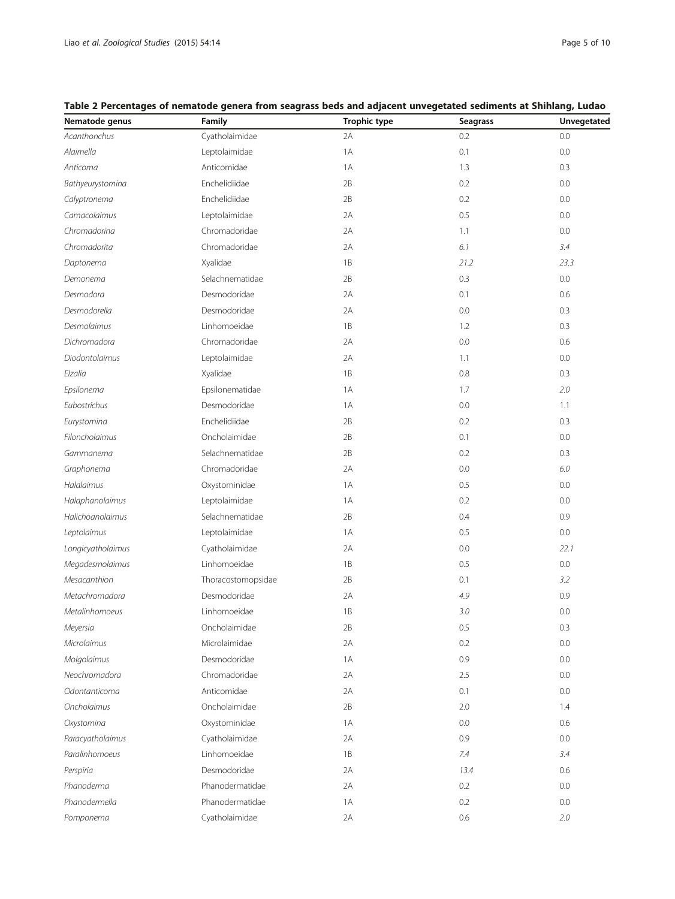| Nematode genus    | Family             | <b>Trophic type</b> | Seagrass | Unvegetated |
|-------------------|--------------------|---------------------|----------|-------------|
| Acanthonchus      | Cyatholaimidae     | 2A                  | 0.2      | 0.0         |
| Alaimella         | Leptolaimidae      | 1A                  | 0.1      | 0.0         |
| Anticoma          | Anticomidae        | 1 A                 | 1.3      | 0.3         |
| Bathyeurystomina  | Enchelidiidae      | 2B                  | 0.2      | 0.0         |
| Calyptronema      | Enchelidiidae      | 2B                  | 0.2      | 0.0         |
| Camacolaimus      | Leptolaimidae      | 2A                  | 0.5      | 0.0         |
| Chromadorina      | Chromadoridae      | 2A                  | 1.1      | 0.0         |
| Chromadorita      | Chromadoridae      | 2A                  | 6.1      | 3.4         |
| Daptonema         | Xyalidae           | 1B                  | 21.2     | 23.3        |
| Demonema          | Selachnematidae    | 2B                  | 0.3      | 0.0         |
| Desmodora         | Desmodoridae       | 2A                  | 0.1      | 0.6         |
| Desmodorella      | Desmodoridae       | 2A                  | 0.0      | 0.3         |
| Desmolaimus       | Linhomoeidae       | 1B                  | 1.2      | 0.3         |
| Dichromadora      | Chromadoridae      | 2A                  | 0.0      | 0.6         |
| Diodontolaimus    | Leptolaimidae      | 2A                  | 1.1      | 0.0         |
| Elzalia           | Xyalidae           | 1B                  | 0.8      | 0.3         |
| Epsilonema        | Epsilonematidae    | 1 A                 | 1.7      | 2.0         |
| Eubostrichus      | Desmodoridae       | 1 A                 | 0.0      | 1.1         |
| Eurystomina       | Enchelidiidae      | 2B                  | 0.2      | 0.3         |
| Filoncholaimus    | Oncholaimidae      | 2B                  | 0.1      | 0.0         |
| Gammanema         | Selachnematidae    | 2B                  | 0.2      | 0.3         |
| Graphonema        | Chromadoridae      | 2A                  | 0.0      | 6.0         |
| Halalaimus        | Oxystominidae      | 1A                  | 0.5      | 0.0         |
| Halaphanolaimus   | Leptolaimidae      | 1 A                 | 0.2      | 0.0         |
| Halichoanolaimus  | Selachnematidae    | 2B                  | 0.4      | 0.9         |
| Leptolaimus       | Leptolaimidae      | 1 A                 | 0.5      | 0.0         |
| Longicyatholaimus | Cyatholaimidae     | 2A                  | 0.0      | 22.1        |
| Megadesmolaimus   | Linhomoeidae       | 1B                  | 0.5      | 0.0         |
| Mesacanthion      | Thoracostomopsidae | 2B                  | 0.1      | 3.2         |
| Metachromadora    | Desmodoridae       | 2A                  | 4.9      | 0.9         |
| Metalinhomoeus    | Linhomoeidae       | 1B                  | 3.0      | 0.0         |
| Meyersia          | Oncholaimidae      | 2B                  | 0.5      | 0.3         |
| Microlaimus       | Microlaimidae      | 2A                  | 0.2      | 0.0         |
| Molgolaimus       | Desmodoridae       | 1A                  | 0.9      | 0.0         |
| Neochromadora     | Chromadoridae      | 2A                  | 2.5      | 0.0         |
| Odontanticoma     | Anticomidae        | 2A                  | 0.1      | 0.0         |
| Oncholaimus       | Oncholaimidae      | 2B                  | 2.0      | 1.4         |
| Oxystomina        | Oxystominidae      | 1 A                 | 0.0      | 0.6         |
| Paracyatholaimus  | Cyatholaimidae     | 2A                  | 0.9      | 0.0         |
| Paralinhomoeus    | Linhomoeidae       | 1B                  | 7.4      | 3.4         |
| Perspiria         | Desmodoridae       | 2A                  | 13.4     | 0.6         |
| Phanoderma        | Phanodermatidae    | 2A                  | 0.2      | 0.0         |
| Phanodermella     | Phanodermatidae    | 1 A                 | 0.2      | 0.0         |
| Pomponema         | Cyatholaimidae     | 2A                  | 0.6      | 2.0         |

<span id="page-4-0"></span>

| Table 2 Percentages of nematode genera from seagrass beds and adjacent unvegetated sediments at Shihlang, Ludao |  |  |  |
|-----------------------------------------------------------------------------------------------------------------|--|--|--|
|-----------------------------------------------------------------------------------------------------------------|--|--|--|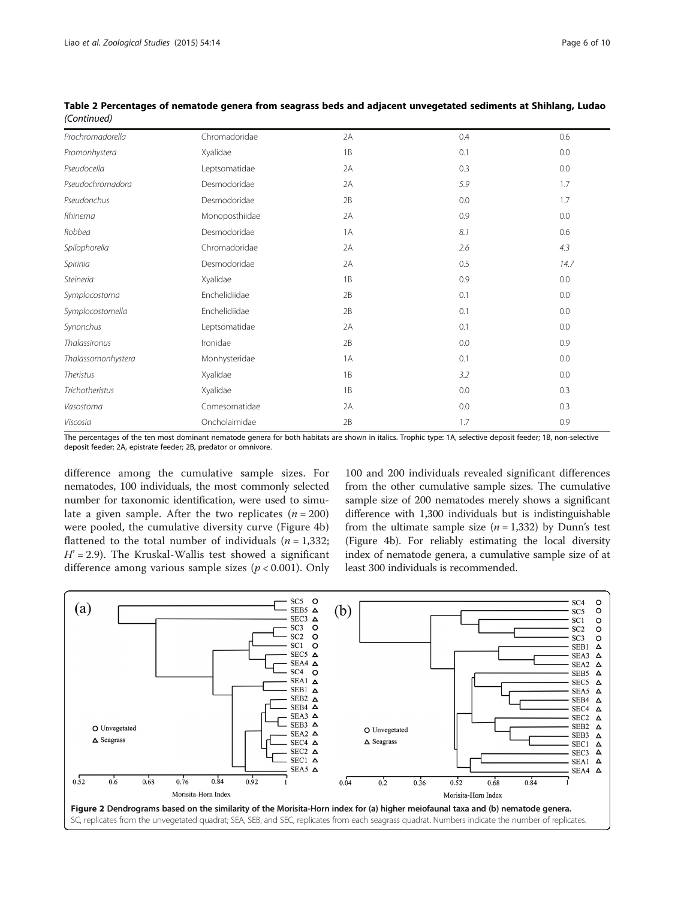| Prochromadorella   | Chromadoridae  | 2A | 0.4 | 0.6  |
|--------------------|----------------|----|-----|------|
| Promonhystera      | Xyalidae       | 1B | 0.1 | 0.0  |
| Pseudocella        | Leptsomatidae  | 2A | 0.3 | 0.0  |
| Pseudochromadora   | Desmodoridae   | 2A | 5.9 | 1.7  |
| Pseudonchus        | Desmodoridae   | 2B | 0.0 | 1.7  |
| Rhinema            | Monoposthiidae | 2A | 0.9 | 0.0  |
| Robbea             | Desmodoridae   | 1A | 8.1 | 0.6  |
| Spilophorella      | Chromadoridae  | 2A | 2.6 | 4.3  |
| Spirinia           | Desmodoridae   | 2A | 0.5 | 14.7 |
| Steineria          | Xyalidae       | 1B | 0.9 | 0.0  |
| Symplocostoma      | Enchelidiidae  | 2B | 0.1 | 0.0  |
| Symplocostomella   | Enchelidiidae  | 2B | 0.1 | 0.0  |
| Synonchus          | Leptsomatidae  | 2A | 0.1 | 0.0  |
| Thalassironus      | Ironidae       | 2B | 0.0 | 0.9  |
| Thalassomonhystera | Monhysteridae  | 1A | 0.1 | 0.0  |
| <b>Theristus</b>   | Xyalidae       | 1B | 3.2 | 0.0  |
| Trichotheristus    | Xyalidae       | 1B | 0.0 | 0.3  |
| Vasostoma          | Comesomatidae  | 2A | 0.0 | 0.3  |
| Viscosia           | Oncholaimidae  | 2B | 1.7 | 0.9  |

<span id="page-5-0"></span>Table 2 Percentages of nematode genera from seagrass beds and adjacent unvegetated sediments at Shihlang, Ludao (Continued)

The percentages of the ten most dominant nematode genera for both habitats are shown in italics. Trophic type: 1A, selective deposit feeder; 1B, non-selective deposit feeder; 2A, epistrate feeder; 2B, predator or omnivore.

difference among the cumulative sample sizes. For nematodes, 100 individuals, the most commonly selected number for taxonomic identification, were used to simulate a given sample. After the two replicates  $(n = 200)$ were pooled, the cumulative diversity curve (Figure [4](#page-6-0)b) flattened to the total number of individuals ( $n = 1,332$ ;  $H' = 2.9$ ). The Kruskal-Wallis test showed a significant difference among various sample sizes  $(p < 0.001)$ . Only

100 and 200 individuals revealed significant differences from the other cumulative sample sizes. The cumulative sample size of 200 nematodes merely shows a significant difference with 1,300 individuals but is indistinguishable from the ultimate sample size  $(n = 1,332)$  by Dunn's test (Figure [4b](#page-6-0)). For reliably estimating the local diversity index of nematode genera, a cumulative sample size of at least 300 individuals is recommended.

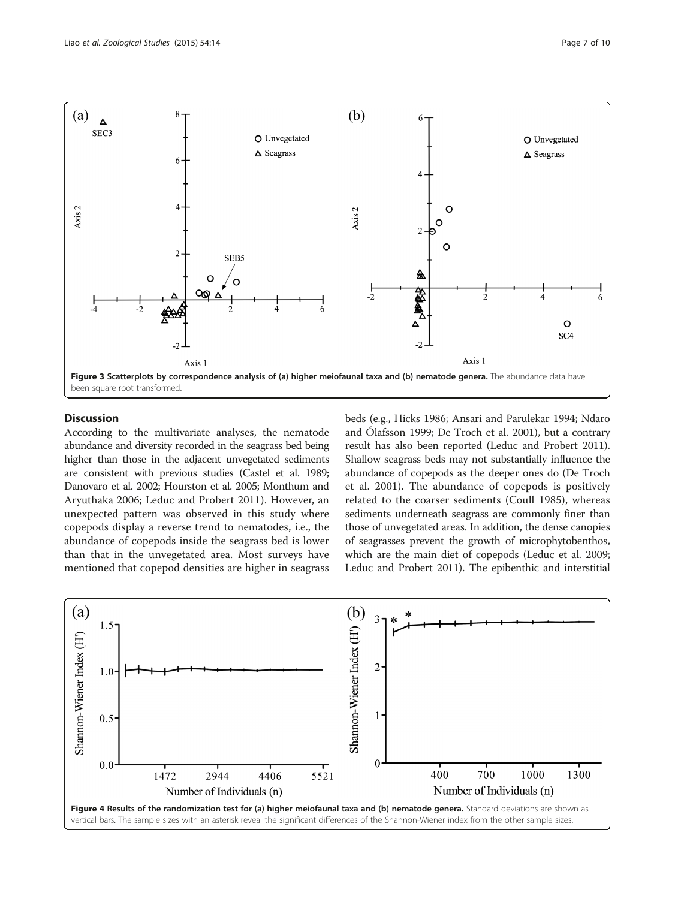<span id="page-6-0"></span>

## Discussion

According to the multivariate analyses, the nematode abundance and diversity recorded in the seagrass bed being higher than those in the adjacent unvegetated sediments are consistent with previous studies (Castel et al. [1989](#page-8-0); Danovaro et al. [2002;](#page-8-0) Hourston et al. [2005;](#page-8-0) Monthum and Aryuthaka [2006](#page-9-0); Leduc and Probert [2011](#page-9-0)). However, an unexpected pattern was observed in this study where copepods display a reverse trend to nematodes, i.e., the abundance of copepods inside the seagrass bed is lower than that in the unvegetated area. Most surveys have mentioned that copepod densities are higher in seagrass beds (e.g., Hicks [1986](#page-8-0); Ansari and Parulekar [1994;](#page-8-0) Ndaro and Ólafsson [1999;](#page-9-0) De Troch et al. [2001\)](#page-8-0), but a contrary result has also been reported (Leduc and Probert [2011](#page-9-0)). Shallow seagrass beds may not substantially influence the abundance of copepods as the deeper ones do (De Troch et al. [2001](#page-8-0)). The abundance of copepods is positively related to the coarser sediments (Coull [1985\)](#page-8-0), whereas sediments underneath seagrass are commonly finer than those of unvegetated areas. In addition, the dense canopies of seagrasses prevent the growth of microphytobenthos, which are the main diet of copepods (Leduc et al. [2009](#page-9-0); Leduc and Probert [2011](#page-9-0)). The epibenthic and interstitial

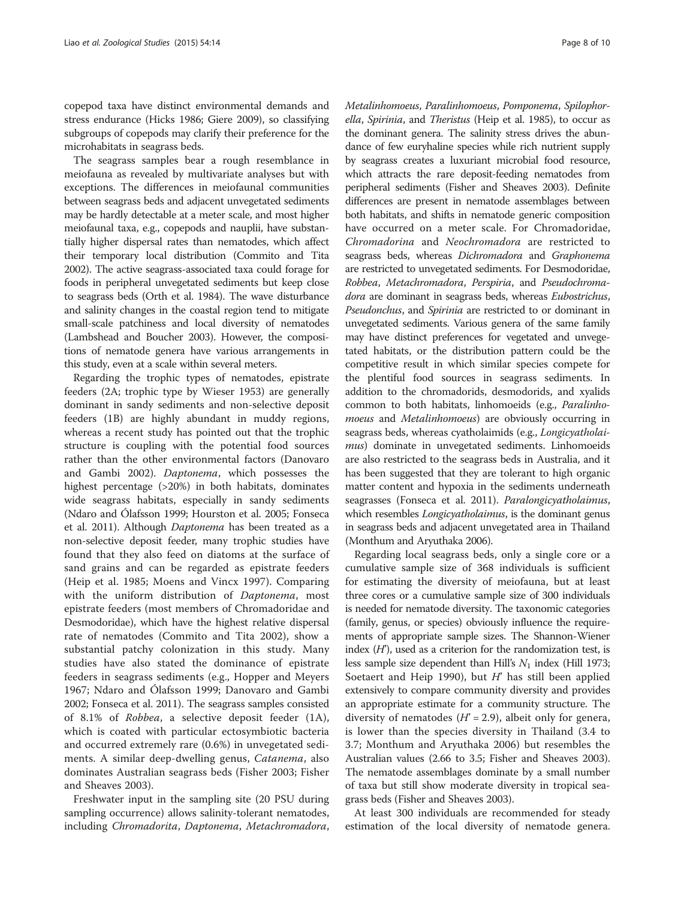copepod taxa have distinct environmental demands and stress endurance (Hicks [1986](#page-8-0); Giere [2009](#page-8-0)), so classifying subgroups of copepods may clarify their preference for the microhabitats in seagrass beds.

The seagrass samples bear a rough resemblance in meiofauna as revealed by multivariate analyses but with exceptions. The differences in meiofaunal communities between seagrass beds and adjacent unvegetated sediments may be hardly detectable at a meter scale, and most higher meiofaunal taxa, e.g., copepods and nauplii, have substantially higher dispersal rates than nematodes, which affect their temporary local distribution (Commito and Tita [2002\)](#page-8-0). The active seagrass-associated taxa could forage for foods in peripheral unvegetated sediments but keep close to seagrass beds (Orth et al. [1984](#page-9-0)). The wave disturbance and salinity changes in the coastal region tend to mitigate small-scale patchiness and local diversity of nematodes (Lambshead and Boucher [2003](#page-9-0)). However, the compositions of nematode genera have various arrangements in this study, even at a scale within several meters.

Regarding the trophic types of nematodes, epistrate feeders (2A; trophic type by Wieser [1953\)](#page-9-0) are generally dominant in sandy sediments and non-selective deposit feeders (1B) are highly abundant in muddy regions, whereas a recent study has pointed out that the trophic structure is coupling with the potential food sources rather than the other environmental factors (Danovaro and Gambi [2002](#page-8-0)). Daptonema, which possesses the highest percentage (>20%) in both habitats, dominates wide seagrass habitats, especially in sandy sediments (Ndaro and Ólafsson [1999;](#page-9-0) Hourston et al. [2005](#page-8-0); Fonseca et al. [2011](#page-8-0)). Although Daptonema has been treated as a non-selective deposit feeder, many trophic studies have found that they also feed on diatoms at the surface of sand grains and can be regarded as epistrate feeders (Heip et al. [1985;](#page-8-0) Moens and Vincx [1997\)](#page-9-0). Comparing with the uniform distribution of *Daptonema*, most epistrate feeders (most members of Chromadoridae and Desmodoridae), which have the highest relative dispersal rate of nematodes (Commito and Tita [2002\)](#page-8-0), show a substantial patchy colonization in this study. Many studies have also stated the dominance of epistrate feeders in seagrass sediments (e.g., Hopper and Meyers [1967;](#page-8-0) Ndaro and Ólafsson [1999;](#page-9-0) Danovaro and Gambi [2002;](#page-8-0) Fonseca et al. [2011\)](#page-8-0). The seagrass samples consisted of 8.1% of Robbea, a selective deposit feeder (1A), which is coated with particular ectosymbiotic bacteria and occurred extremely rare (0.6%) in unvegetated sediments. A similar deep-dwelling genus, Catanema, also dominates Australian seagrass beds (Fisher [2003;](#page-8-0) Fisher and Sheaves [2003](#page-8-0)).

Freshwater input in the sampling site (20 PSU during sampling occurrence) allows salinity-tolerant nematodes, including Chromadorita, Daptonema, Metachromadora, Metalinhomoeus, Paralinhomoeus, Pomponema, Spilophorella, Spirinia, and Theristus (Heip et al. [1985](#page-8-0)), to occur as the dominant genera. The salinity stress drives the abundance of few euryhaline species while rich nutrient supply by seagrass creates a luxuriant microbial food resource, which attracts the rare deposit-feeding nematodes from peripheral sediments (Fisher and Sheaves [2003\)](#page-8-0). Definite differences are present in nematode assemblages between both habitats, and shifts in nematode generic composition have occurred on a meter scale. For Chromadoridae, Chromadorina and Neochromadora are restricted to seagrass beds, whereas Dichromadora and Graphonema are restricted to unvegetated sediments. For Desmodoridae, Robbea, Metachromadora, Perspiria, and Pseudochromadora are dominant in seagrass beds, whereas Eubostrichus, Pseudonchus, and Spirinia are restricted to or dominant in unvegetated sediments. Various genera of the same family may have distinct preferences for vegetated and unvegetated habitats, or the distribution pattern could be the competitive result in which similar species compete for the plentiful food sources in seagrass sediments. In addition to the chromadorids, desmodorids, and xyalids common to both habitats, linhomoeids (e.g., Paralinhomoeus and Metalinhomoeus) are obviously occurring in seagrass beds, whereas cyatholaimids (e.g., Longicyatholaimus) dominate in unvegetated sediments. Linhomoeids are also restricted to the seagrass beds in Australia, and it has been suggested that they are tolerant to high organic matter content and hypoxia in the sediments underneath seagrasses (Fonseca et al. [2011\)](#page-8-0). Paralongicyatholaimus, which resembles *Longicyatholaimus*, is the dominant genus in seagrass beds and adjacent unvegetated area in Thailand (Monthum and Aryuthaka [2006](#page-9-0)).

Regarding local seagrass beds, only a single core or a cumulative sample size of 368 individuals is sufficient for estimating the diversity of meiofauna, but at least three cores or a cumulative sample size of 300 individuals is needed for nematode diversity. The taxonomic categories (family, genus, or species) obviously influence the requirements of appropriate sample sizes. The Shannon-Wiener index  $(H')$ , used as a criterion for the randomization test, is less sample size dependent than Hill's  $N_1$  index (Hill [1973](#page-8-0); Soetaert and Heip [1990](#page-9-0)), but  $H'$  has still been applied extensively to compare community diversity and provides an appropriate estimate for a community structure. The diversity of nematodes ( $H^2 = 2.9$ ), albeit only for genera, is lower than the species diversity in Thailand (3.4 to 3.7; Monthum and Aryuthaka [2006\)](#page-9-0) but resembles the Australian values (2.66 to 3.5; Fisher and Sheaves [2003](#page-8-0)). The nematode assemblages dominate by a small number of taxa but still show moderate diversity in tropical seagrass beds (Fisher and Sheaves [2003\)](#page-8-0).

At least 300 individuals are recommended for steady estimation of the local diversity of nematode genera.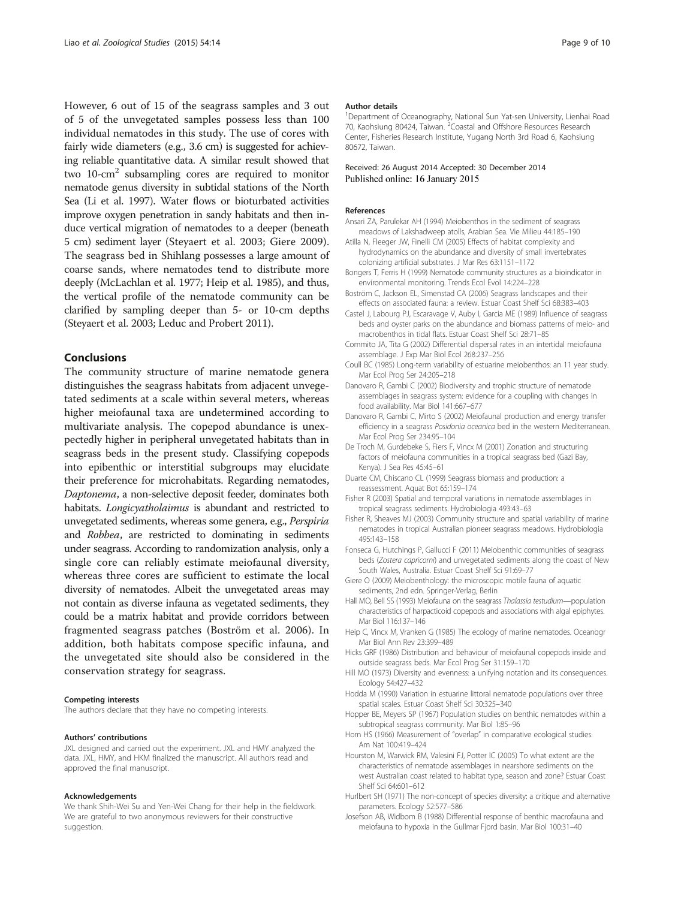<span id="page-8-0"></span>However, 6 out of 15 of the seagrass samples and 3 out of 5 of the unvegetated samples possess less than 100 individual nematodes in this study. The use of cores with fairly wide diameters (e.g., 3.6 cm) is suggested for achieving reliable quantitative data. A similar result showed that two 10-cm2 subsampling cores are required to monitor nematode genus diversity in subtidal stations of the North Sea (Li et al. [1997](#page-9-0)). Water flows or bioturbated activities improve oxygen penetration in sandy habitats and then induce vertical migration of nematodes to a deeper (beneath 5 cm) sediment layer (Steyaert et al. [2003;](#page-9-0) Giere 2009). The seagrass bed in Shihlang possesses a large amount of coarse sands, where nematodes tend to distribute more deeply (McLachlan et al. [1977](#page-9-0); Heip et al. 1985), and thus, the vertical profile of the nematode community can be clarified by sampling deeper than 5- or 10-cm depths (Steyaert et al. [2003](#page-9-0); Leduc and Probert [2011](#page-9-0)).

### Conclusions

The community structure of marine nematode genera distinguishes the seagrass habitats from adjacent unvegetated sediments at a scale within several meters, whereas higher meiofaunal taxa are undetermined according to multivariate analysis. The copepod abundance is unexpectedly higher in peripheral unvegetated habitats than in seagrass beds in the present study. Classifying copepods into epibenthic or interstitial subgroups may elucidate their preference for microhabitats. Regarding nematodes, Daptonema, a non-selective deposit feeder, dominates both habitats. Longicyatholaimus is abundant and restricted to unvegetated sediments, whereas some genera, e.g., Perspiria and Robbea, are restricted to dominating in sediments under seagrass. According to randomization analysis, only a single core can reliably estimate meiofaunal diversity, whereas three cores are sufficient to estimate the local diversity of nematodes. Albeit the unvegetated areas may not contain as diverse infauna as vegetated sediments, they could be a matrix habitat and provide corridors between fragmented seagrass patches (Boström et al. 2006). In addition, both habitats compose specific infauna, and the unvegetated site should also be considered in the conservation strategy for seagrass.

#### Competing interests

The authors declare that they have no competing interests.

#### Authors' contributions

JXL designed and carried out the experiment. JXL and HMY analyzed the data. JXL, HMY, and HKM finalized the manuscript. All authors read and approved the final manuscript.

#### Acknowledgements

We thank Shih-Wei Su and Yen-Wei Chang for their help in the fieldwork. We are grateful to two anonymous reviewers for their constructive suggestion.

#### Author details

<sup>1</sup>Department of Oceanography, National Sun Yat-sen University, Lienhai Road 70, Kaohsiung 80424, Taiwan. <sup>2</sup> Coastal and Offshore Resources Research Center, Fisheries Research Institute, Yugang North 3rd Road 6, Kaohsiung 80672, Taiwan.

#### Received: 26 August 2014 Accepted: 30 December 2014 Published online: 16 January 2015

#### References

- Ansari ZA, Parulekar AH (1994) Meiobenthos in the sediment of seagrass meadows of Lakshadweep atolls, Arabian Sea. Vie Milieu 44:185–190
- Atilla N, Fleeger JW, Finelli CM (2005) Effects of habitat complexity and hydrodynamics on the abundance and diversity of small invertebrates colonizing artificial substrates. J Mar Res 63:1151–1172
- Bongers T, Ferris H (1999) Nematode community structures as a bioindicator in environmental monitoring. Trends Ecol Evol 14:224–228
- Boström C, Jackson EL, Simenstad CA (2006) Seagrass landscapes and their effects on associated fauna: a review. Estuar Coast Shelf Sci 68:383–403
- Castel J, Labourg PJ, Escaravage V, Auby I, Garcia ME (1989) Influence of seagrass beds and oyster parks on the abundance and biomass patterns of meio- and macrobenthos in tidal flats. Estuar Coast Shelf Sci 28:71–85
- Commito JA, Tita G (2002) Differential dispersal rates in an intertidal meiofauna assemblage. J Exp Mar Biol Ecol 268:237–256
- Coull BC (1985) Long-term variability of estuarine meiobenthos: an 11 year study. Mar Ecol Prog Ser 24:205–218
- Danovaro R, Gambi C (2002) Biodiversity and trophic structure of nematode assemblages in seagrass system: evidence for a coupling with changes in food availability. Mar Biol 141:667–677
- Danovaro R, Gambi C, Mirto S (2002) Meiofaunal production and energy transfer efficiency in a seagrass Posidonia oceanica bed in the western Mediterranean. Mar Ecol Prog Ser 234:95–104
- De Troch M, Gurdebeke S, Fiers F, Vincx M (2001) Zonation and structuring factors of meiofauna communities in a tropical seagrass bed (Gazi Bay, Kenya). J Sea Res 45:45–61
- Duarte CM, Chiscano CL (1999) Seagrass biomass and production: a reassessment. Aquat Bot 65:159–174
- Fisher R (2003) Spatial and temporal variations in nematode assemblages in tropical seagrass sediments. Hydrobiologia 493:43–63
- Fisher R, Sheaves MJ (2003) Community structure and spatial variability of marine nematodes in tropical Australian pioneer seagrass meadows. Hydrobiologia 495:143–158
- Fonseca G, Hutchings P, Gallucci F (2011) Meiobenthic communities of seagrass beds (Zostera capricorni) and unvegetated sediments along the coast of New South Wales, Australia. Estuar Coast Shelf Sci 91:69–77
- Giere O (2009) Meiobenthology: the microscopic motile fauna of aquatic sediments, 2nd edn. Springer-Verlag, Berlin
- Hall MO, Bell SS (1993) Meiofauna on the seagrass Thalassia testudium—population characteristics of harpacticoid copepods and associations with algal epiphytes. Mar Biol 116:137–146
- Heip C, Vincx M, Vranken G (1985) The ecology of marine nematodes. Oceanogr Mar Biol Ann Rev 23:399–489
- Hicks GRF (1986) Distribution and behaviour of meiofaunal copepods inside and outside seagrass beds. Mar Ecol Prog Ser 31:159–170
- Hill MO (1973) Diversity and evenness: a unifying notation and its consequences. Ecology 54:427–432
- Hodda M (1990) Variation in estuarine littoral nematode populations over three spatial scales. Estuar Coast Shelf Sci 30:325–340
- Hopper BE, Meyers SP (1967) Population studies on benthic nematodes within a subtropical seagrass community. Mar Biol 1:85–96
- Horn HS (1966) Measurement of "overlap" in comparative ecological studies. Am Nat 100:419–424
- Hourston M, Warwick RM, Valesini FJ, Potter IC (2005) To what extent are the characteristics of nematode assemblages in nearshore sediments on the west Australian coast related to habitat type, season and zone? Estuar Coast Shelf Sci 64:601–612
- Hurlbert SH (1971) The non-concept of species diversity: a critique and alternative parameters. Ecology 52:577–586
- Josefson AB, Widbom B (1988) Differential response of benthic macrofauna and meiofauna to hypoxia in the Gullmar Fjord basin. Mar Biol 100:31–40